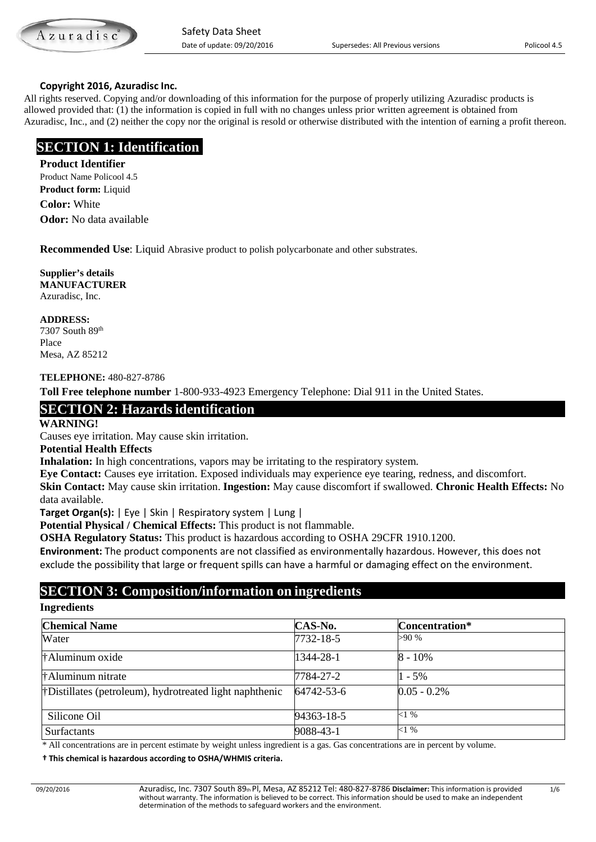

#### **Copyright 2016, Azuradisc Inc.**

All rights reserved. Copying and/or downloading of this information for the purpose of properly utilizing Azuradisc products is allowed provided that: (1) the information is copied in full with no changes unless prior written agreement is obtained from Azuradisc, Inc., and (2) neither the copy nor the original is resold or otherwise distributed with the intention of earning a profit thereon.

# **SECTION 1: Identification**

#### **Product Identifier**

Product Name Policool 4.5 **Product form:** Liquid **Color:** White **Odor:** No data available

**Recommended Use**: Liquid Abrasive product to polish polycarbonate and other substrates.

**Supplier's details MANUFACTURER** Azuradisc, Inc.

**ADDRESS:**

7307 South 89th Place Mesa, AZ 85212

#### **TELEPHONE:** 480-827-8786

**Toll Free telephone number** 1-800-933-4923 Emergency Telephone: Dial 911 in the United States.

# **SECTION 2: Hazards identification**

**WARNING!** 

Causes eye irritation. May cause skin irritation.

#### **Potential Health Effects**

**Inhalation:** In high concentrations, vapors may be irritating to the respiratory system.

**Eye Contact:** Causes eye irritation. Exposed individuals may experience eye tearing, redness, and discomfort. **Skin Contact:** May cause skin irritation. **Ingestion:** May cause discomfort if swallowed. **Chronic Health Effects:** No data available.

**Target Organ(s):** | Eye | Skin | Respiratory system | Lung |

**Potential Physical / Chemical Effects:** This product is not flammable.

**OSHA Regulatory Status:** This product is hazardous according to OSHA 29CFR 1910.1200.

**Environment:** The product components are not classified as environmentally hazardous. However, this does not exclude the possibility that large or frequent spills can have a harmful or damaging effect on the environment.

# **SECTION 3: Composition/information on ingredients**

#### **Ingredients**

| <b>Chemical Name</b>                                                                                                                                                                                                               | CAS-No.    | Concentration* |
|------------------------------------------------------------------------------------------------------------------------------------------------------------------------------------------------------------------------------------|------------|----------------|
| Water                                                                                                                                                                                                                              | 7732-18-5  | >90 %          |
| †Aluminum oxide                                                                                                                                                                                                                    | 1344-28-1  | $8 - 10\%$     |
| <b>Example 11</b> The Human Prints of the Fig. 2.1 The Eq. 2.1 The Eq. 2.1 The Eq. 2.1 The Eq. 2.1 The Eq. 2.1 The Eq. 2.1 The Eq. 2.1 The Eq. 2.1 The Eq. 2.1 The Eq. 2.1 The Eq. 2.1 The Eq. 2.1 The Eq. 2.1 The Eq. 2.1 The Eq. | 7784-27-2  | $1 - 5\%$      |
| † Distillates (petroleum), hydrotreated light naphthenic                                                                                                                                                                           | 64742-53-6 | $0.05 - 0.2\%$ |
| Silicone Oil                                                                                                                                                                                                                       | 94363-18-5 | $<1\%$         |
| <b>Surfactants</b>                                                                                                                                                                                                                 | 9088-43-1  | $<1\%$         |

\* All concentrations are in percent estimate by weight unless ingredient is a gas. Gas concentrations are in percent by volume.

 **† This chemical is hazardous according to OSHA/WHMIS criteria.**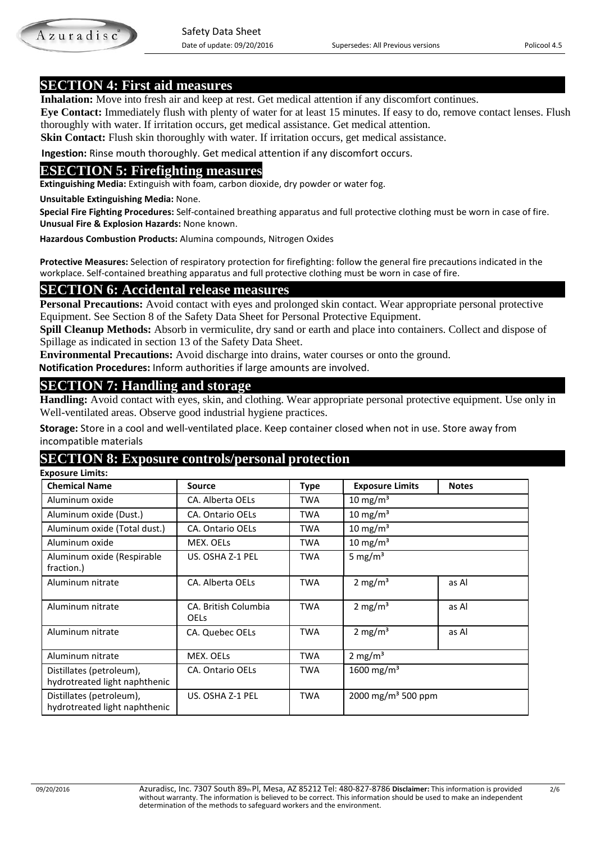**SECTION 4: First aid measures**<br>**Inhalation:** Move into fresh air and keep at rest. Get medical attention if any discomfort continues.

 **Eye Contact:** Immediately flush with plenty of water for at least 15 minutes. If easy to do, remove contact lenses. Flush thoroughly with water. If irritation occurs, get medical assistance. Get medical attention.

**Skin Contact:** Flush skin thoroughly with water. If irritation occurs, get medical assistance.

 **Ingestion:** Rinse mouth thoroughly. Get medical attention if any discomfort occurs.

# **ESECTION 5: Firefighting measures**

**Extinguishing Media:** Extinguish with foam, carbon dioxide, dry powder or water fog.

**Unsuitable Extinguishing Media:** None.

 **Special Fire Fighting Procedures:** Self-contained breathing apparatus and full protective clothing must be worn in case of fire.  **Unusual Fire & Explosion Hazards:** None known.

 **Hazardous Combustion Products:** Alumina compounds, Nitrogen Oxides

 **Protective Measures:** Selection of respiratory protection for firefighting: follow the general fire precautions indicated in the workplace. Self-contained breathing apparatus and full protective clothing must be worn in case of fire.

# **SECTION 6: Accidental release measures**

**Personal Precautions:** Avoid contact with eyes and prolonged skin contact. Wear appropriate personal protective Equipment. See Section 8 of the Safety Data Sheet for Personal Protective Equipment.

**Spill Cleanup Methods:** Absorb in vermiculite, dry sand or earth and place into containers. Collect and dispose of Spillage as indicated in section 13 of the Safety Data Sheet.

**Environmental Precautions:** Avoid discharge into drains, water courses or onto the ground.

 **Notification Procedures:** Inform authorities if large amounts are involved.

# **SECTION 7: Handling and storage**

**Handling:** Avoid contact with eyes, skin, and clothing. Wear appropriate personal protective equipment. Use only in Well-ventilated areas. Observe good industrial hygiene practices.

**Storage:** Store in a cool and well-ventilated place. Keep container closed when not in use. Store away from incompatible materials

# **SECTION 8: Exposure controls/personal protection**

 **Exposure Limits: Chemical Name Source Type Exposure Limits Notes** Aluminum oxide <br>
CA. Alberta OELs TWA 10 mg/m<sup>3</sup> Aluminum oxide (Dust.) CA. Ontario OELs TWA 10 mg/m<sup>3</sup> Aluminum oxide (Total dust.) | CA. Ontario OELs TWA 10 mg/m<sup>3</sup> Aluminum oxide MEX. OELs TWA 10 mg/m<sup>3</sup> Aluminum oxide (Respirable fraction.) US. OSHA Z-1 PEL  $\vert$  TWA  $\vert$  5 mg/m<sup>3</sup> Aluminum nitrate | CA. Alberta OELs | TWA | 2 mg/m<sup>3</sup> | as Al Aluminum nitrate **CA. British Columbia** OELs TWA  $\vert$  2 mg/m<sup>3</sup> as Al Aluminum nitrate CA. Quebec OELs TWA 2 mg/m<sup>3</sup> as Al Aluminum nitrate MEX. OELs TWA 2 mg/m<sup>3</sup> Distillates (petroleum), hydrotreated light naphthenic CA. Ontario OELs TWA 1600 mg/m<sup>3</sup> Distillates (petroleum), hydrotreated light naphthenic US. OSHA Z-1 PEL TWA  $\vert$  2000 mg/m<sup>3</sup> 500 ppm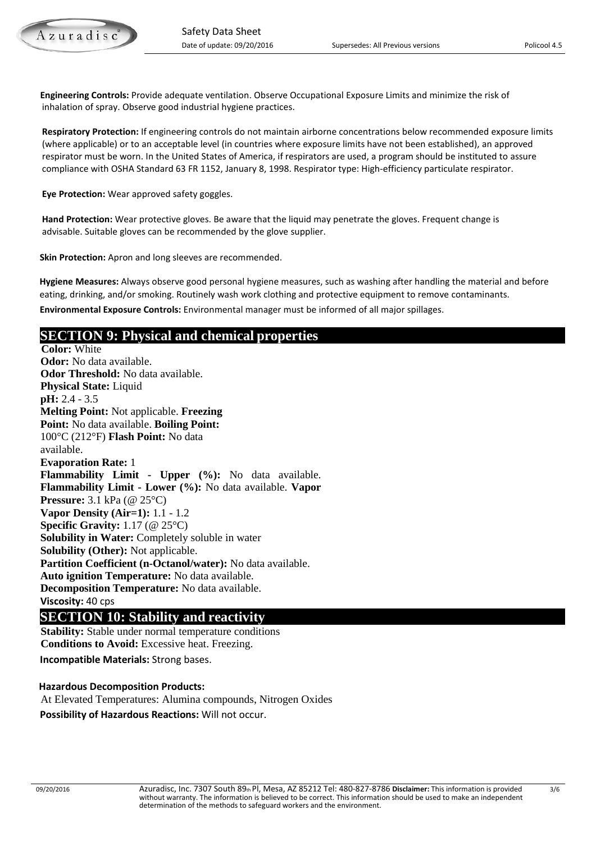**Engineering Controls:** Provide adequate ventilation. Observe Occupational Exposure Limits and minimize the risk of inhalation of spray. Observe good industrial hygiene practices.

 **Respiratory Protection:** If engineering controls do not maintain airborne concentrations below recommended exposure limits (where applicable) or to an acceptable level (in countries where exposure limits have not been established), an approved respirator must be worn. In the United States of America, if respirators are used, a program should be instituted to assure compliance with OSHA Standard 63 FR 1152, January 8, 1998. Respirator type: High-efficiency particulate respirator.

 **Eye Protection:** Wear approved safety goggles.

 **Hand Protection:** Wear protective gloves. Be aware that the liquid may penetrate the gloves. Frequent change is advisable. Suitable gloves can be recommended by the glove supplier.

 **Skin Protection:** Apron and long sleeves are recommended.

 **Hygiene Measures:** Always observe good personal hygiene measures, such as washing after handling the material and before eating, drinking, and/or smoking. Routinely wash work clothing and protective equipment to remove contaminants.

 **Environmental Exposure Controls:** Environmental manager must be informed of all major spillages.

# **SECTION 9: Physical and chemical properties**

**Color:** White **Odor:** No data available. **Odor Threshold:** No data available. **Physical State:** Liquid **pH:** 2.4 - 3.5 **Melting Point:** Not applicable. **Freezing Point:** No data available. **Boiling Point:**  100°C (212°F) **Flash Point:** No data available. **Evaporation Rate:** 1 **Flammability Limit - Upper (%):** No data available. **Flammability Limit - Lower (%):** No data available. **Vapor Pressure:** 3.1 kPa (@ 25°C) **Vapor Density (Air=1):** 1.1 - 1.2 **Specific Gravity:** 1.17 (@ 25°C) **Solubility in Water:** Completely soluble in water **Solubility (Other):** Not applicable. **Partition Coefficient (n-Octanol/water):** No data available. **Auto ignition Temperature:** No data available. **Decomposition Temperature:** No data available. **Viscosity:** 40 cps

# **SECTION 10: Stability and reactivity**<br>**Stability:** Stable under normal temperature conditions

 **Conditions to Avoid:** Excessive heat. Freezing. **Incompatible Materials:** Strong bases.

### **Hazardous Decomposition Products:**

 At Elevated Temperatures: Alumina compounds, Nitrogen Oxides **Possibility of Hazardous Reactions:** Will not occur.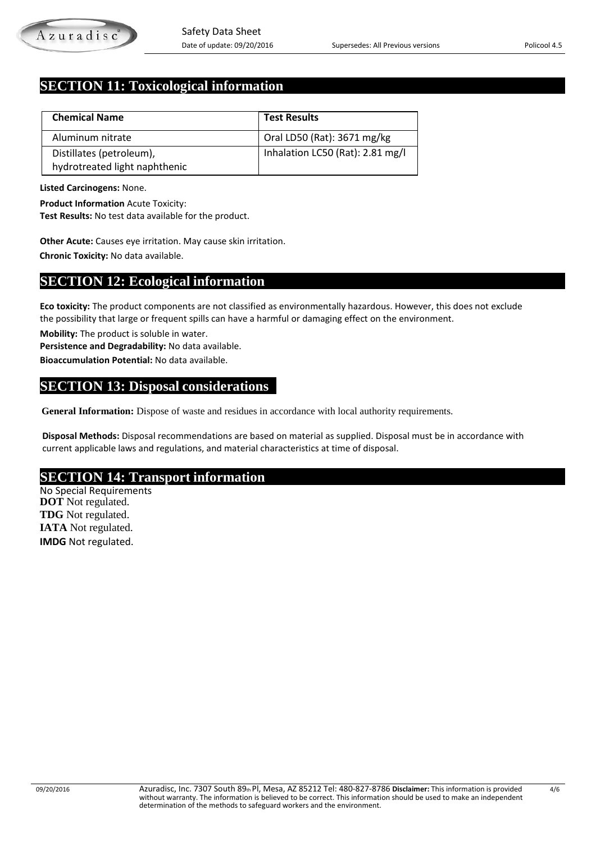# **SECTION 11: Toxicological information**

| <b>Chemical Name</b>          | <b>Test Results</b>              |
|-------------------------------|----------------------------------|
| Aluminum nitrate              | Oral LD50 (Rat): 3671 mg/kg      |
| Distillates (petroleum),      | Inhalation LC50 (Rat): 2.81 mg/l |
| hydrotreated light naphthenic |                                  |

**Listed Carcinogens:** None.

**Product Information** Acute Toxicity:

**Test Results:** No test data available for the product.

 **Other Acute:** Causes eye irritation. May cause skin irritation. **Chronic Toxicity:** No data available.

# **SECTION 12: Ecological information**

**Eco toxicity:** The product components are not classified as environmentally hazardous. However, this does not exclude the possibility that large or frequent spills can have a harmful or damaging effect on the environment.

**Mobility:** The product is soluble in water.

**Persistence and Degradability:** No data available.

**Bioaccumulation Potential:** No data available.

# **SECTION 13: Disposal considerations**

**General Information:** Dispose of waste and residues in accordance with local authority requirements.

 **Disposal Methods:** Disposal recommendations are based on material as supplied. Disposal must be in accordance with current applicable laws and regulations, and material characteristics at time of disposal.

# **SECTION 14: Transport information** No Special Requirements

 **DOT** Not regulated.  **TDG** Not regulated.  **IATA** Not regulated.  **IMDG** Not regulated.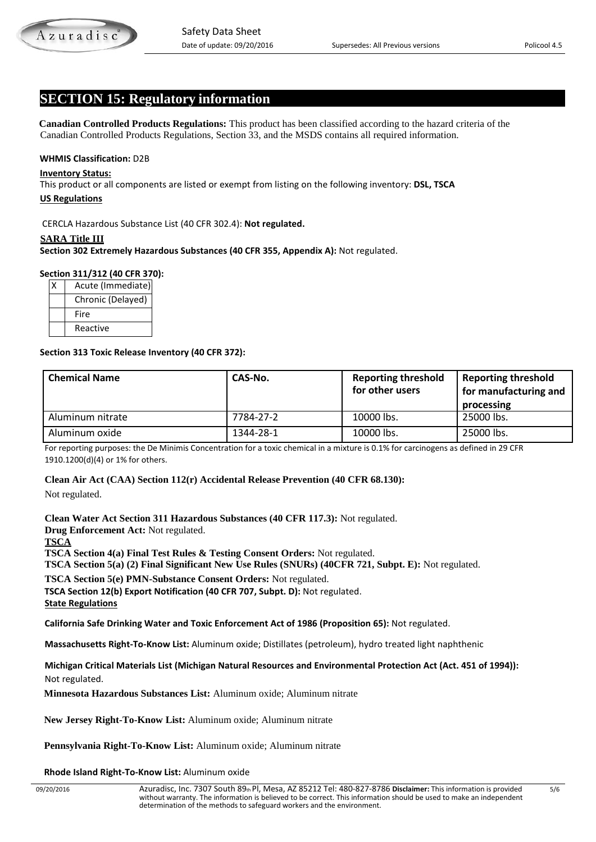# **SECTION 15: Regulatory information**

 **Canadian Controlled Products Regulations:** This product has been classified according to the hazard criteria of the Canadian Controlled Products Regulations, Section 33, and the MSDS contains all required information.

#### **WHMIS Classification:** D2B

#### **Inventory Status:**

This product or all components are listed or exempt from listing on the following inventory: **DSL, TSCA**

#### **US Regulations**

CERCLA Hazardous Substance List (40 CFR 302.4): **Not regulated.**

#### **SARA Title III**

**Section 302 Extremely Hazardous Substances (40 CFR 355, Appendix A):** Not regulated.

#### **Section 311/312 (40 CFR 370):**

| Acute (Immediate) |
|-------------------|
| Chronic (Delayed) |
| Fire              |
| Reactive          |

#### **Section 313 Toxic Release Inventory (40 CFR 372):**

| <b>Chemical Name</b> | CAS-No.   | <b>Reporting threshold</b><br>for other users | <b>Reporting threshold</b><br>for manufacturing and<br>processing |
|----------------------|-----------|-----------------------------------------------|-------------------------------------------------------------------|
| Aluminum nitrate     | 7784-27-2 | 10000 lbs.                                    | 25000 lbs.                                                        |
| Aluminum oxide       | 1344-28-1 | 10000 lbs.                                    | 25000 lbs.                                                        |

For reporting purposes: the De Minimis Concentration for a toxic chemical in a mixture is 0.1% for carcinogens as defined in 29 CFR 1910.1200(d)(4) or 1% for others.

#### **Clean Air Act (CAA) Section 112(r) Accidental Release Prevention (40 CFR 68.130):**

Not regulated.

**Clean Water Act Section 311 Hazardous Substances (40 CFR 117.3):** Not regulated. **Drug Enforcement Act:** Not regulated. **TSCA TSCA Section 4(a) Final Test Rules & Testing Consent Orders:** Not regulated. **TSCA Section 5(a) (2) Final Significant New Use Rules (SNURs) (40CFR 721, Subpt. E):** Not regulated. **TSCA Section 5(e) PMN-Substance Consent Orders:** Not regulated.

**TSCA Section 12(b) Export Notification (40 CFR 707, Subpt. D):** Not regulated.

**State Regulations**

**California Safe Drinking Water and Toxic Enforcement Act of 1986 (Proposition 65):** Not regulated.

**Massachusetts Right-To-Know List:** Aluminum oxide; Distillates (petroleum), hydro treated light naphthenic

**Michigan Critical Materials List (Michigan Natural Resources and Environmental Protection Act (Act. 451 of 1994)):** Not regulated.

 **Minnesota Hazardous Substances List:** Aluminum oxide; Aluminum nitrate

**New Jersey Right-To-Know List:** Aluminum oxide; Aluminum nitrate

 **Pennsylvania Right-To-Know List:** Aluminum oxide; Aluminum nitrate

 **Rhode Island Right-To-Know List:** Aluminum oxide